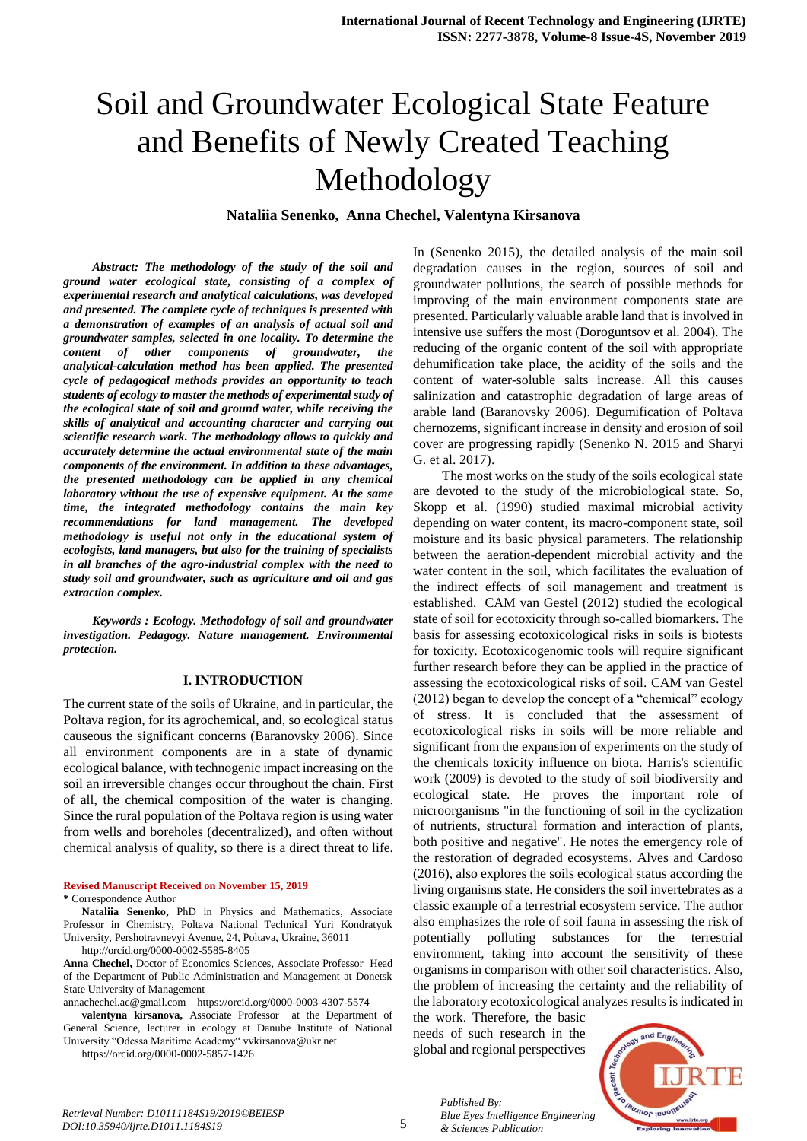# Soil and Groundwater Ecological State Feature and Benefits of Newly Created Teaching Methodology

**Nataliia Senenko, Anna Chechel, Valentyna Kirsanova**

*Abstract: The methodology of the study of the soil and ground water ecological state, consisting of a complex of experimental research and analytical calculations, was developed and presented. The complete cycle of techniques is presented with a demonstration of examples of an analysis of actual soil and groundwater samples, selected in one locality. To determine the content of other components of groundwater, the analytical-calculation method has been applied. The presented cycle of pedagogical methods provides an opportunity to teach students of ecology to master the methods of experimental study of the ecological state of soil and ground water, while receiving the skills of analytical and accounting character and carrying out scientific research work. The methodology allows to quickly and accurately determine the actual environmental state of the main components of the environment. In addition to these advantages, the presented methodology can be applied in any chemical laboratory without the use of expensive equipment. At the same time, the integrated methodology contains the main key recommendations for land management. The developed methodology is useful not only in the educational system of ecologists, land managers, but also for the training of specialists in all branches of the agro-industrial complex with the need to study soil and groundwater, such as agriculture and oil and gas extraction complex.*

*Keywords : Ecology. Methodology of soil and groundwater investigation. Pedagogy. Nature management. Environmental protection.*

#### **I. INTRODUCTION**

The current state of the soils of Ukraine, and in particular, the Poltava region, for its agrochemical, and, so ecological status causeous the significant concerns (Baranovsky 2006). Since all environment components are in a state of dynamic ecological balance, with technogenic impact increasing on the soil an irreversible changes occur throughout the chain. First of all, the chemical composition of the water is changing. Since the rural population of the Poltava region is using water from wells and boreholes (decentralized), and often without chemical analysis of quality, so there is a direct threat to life.

**Revised Manuscript Received on November 15, 2019 \*** Correspondence Author

**Nataliia Senenko,** PhD in Physics and Mathematics, Associate Professor in Chemistry, Poltava National Technical Yuri Kondratyuk University, Pershotravnevyi Avenue, 24, Poltava, Ukraine, 36011 <http://orcid.org/0000-0002-5585-8405>

**Anna Chechel,** Doctor of Economics Sciences, Associate Professor Head of the Department of Public Administration and Management at Donetsk State University of Management

annachechel.ac@gmail.com https://orcid.org/0000-0003-4307-5574

**valentyna kirsanova,** Associate Professor at the Department of General Science, lecturer in ecology at Danube Institute of National University "Odessa Maritime Academy" vvkirsanova@ukr.net

<https://orcid.org/0000-0002-5857-1426>

In (Senenko 2015), the detailed analysis of the main soil degradation causes in the region, sources of soil and groundwater pollutions, the search of possible methods for improving of the main environment components state are presented. Particularly valuable arable land that is involved in intensive use suffers the most (Doroguntsov et al. 2004). The reducing of the organic content of the soil with appropriate dehumification take place, the acidity of the soils and the content of water-soluble salts increase. All this causes salinization and catastrophic degradation of large areas of arable land (Baranovsky 2006). Degumification of Poltava chernozems, significant increase in density and erosion of soil cover are progressing rapidly (Senenko N. 2015 and Sharyi G. et al. 2017).

The most works on the study of the soils ecological state are devoted to the study of the microbiological state. So, Skopp et al. (1990) studied maximal microbial activity depending on water content, its macro-component state, soil moisture and its basic physical parameters. The relationship between the aeration-dependent microbial activity and the water content in the soil, which facilitates the evaluation of the indirect effects of soil management and treatment is established. CAM van Gestel (2012) studied the ecological state of soil for ecotoxicity through so-called biomarkers. The basis for assessing ecotoxicological risks in soils is biotests for toxicity. Ecotoxicogenomic tools will require significant further research before they can be applied in the practice of assessing the ecotoxicological risks of soil. CAM van Gestel (2012) began to develop the concept of a "chemical" ecology of stress. It is concluded that the assessment of ecotoxicological risks in soils will be more reliable and significant from the expansion of experiments on the study of the chemicals toxicity influence on biota. Harris's scientific work (2009) is devoted to the study of soil biodiversity and ecological state. He proves the important role of microorganisms "in the functioning of soil in the cyclization of nutrients, structural formation and interaction of plants, both positive and negative". He notes the emergency role of the restoration of degraded ecosystems. Alves and Cardoso (2016), also explores the soils ecological status according the living organisms state. He considers the soil invertebrates as a classic example of a terrestrial ecosystem service. The author also emphasizes the role of soil fauna in assessing the risk of potentially polluting substances for the terrestrial environment, taking into account the sensitivity of these organisms in comparison with other soil characteristics. Also, the problem of increasing the certainty and the reliability of the laboratory ecotoxicological analyzes results is indicated in

the work. Therefore, the basic needs of such research in the global and regional perspectives

*Published By:*

*& Sciences Publication* 



*Retrieval Number: D10111184S19/2019©BEIESP DOI:10.35940/ijrte.D1011.1184S19*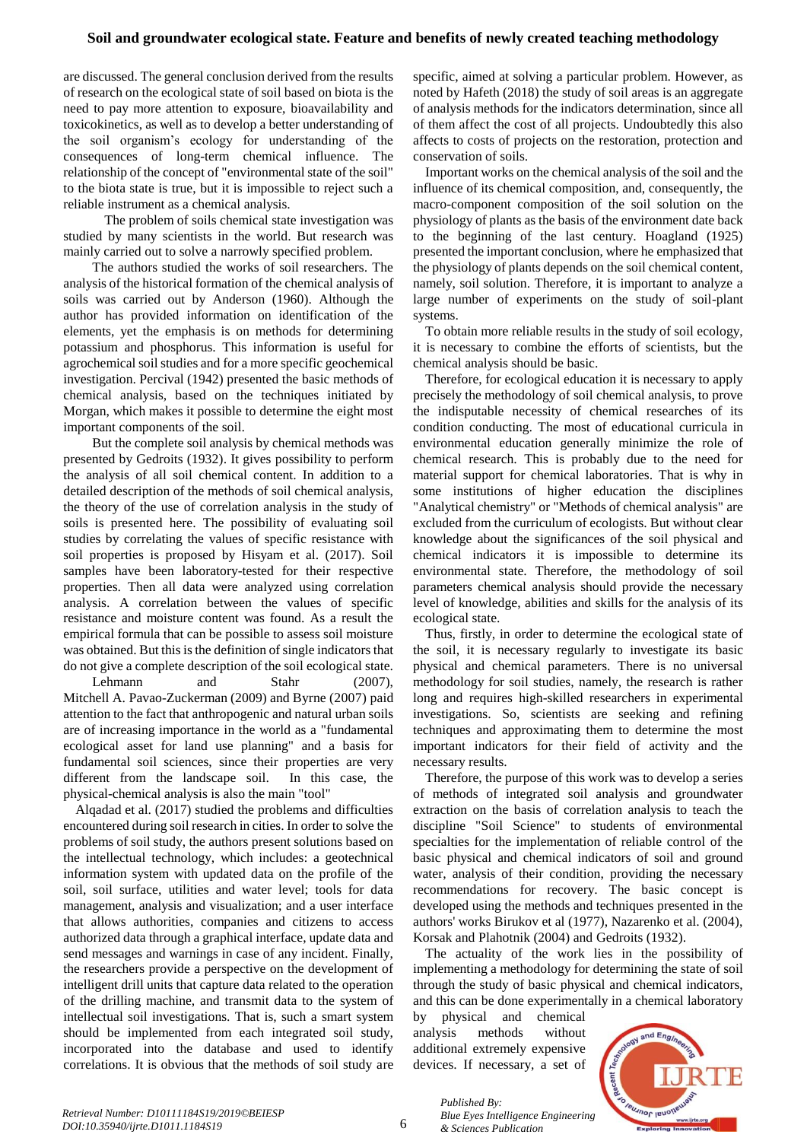## **Soil and groundwater ecological state. Feature and benefits of newly created teaching methodology**

are discussed. The general conclusion derived from the results of research on the ecological state of soil based on biota is the need to pay more attention to exposure, bioavailability and toxicokinetics, as well as to develop a better understanding of the soil organism's ecology for understanding of the consequences of long-term chemical influence. The relationship of the concept of "environmental state of the soil" to the biota state is true, but it is impossible to reject such a reliable instrument as a chemical analysis.

The problem of soils chemical state investigation was studied by many scientists in the world. But research was mainly carried out to solve a narrowly specified problem.

The authors studied the works of soil researchers. The analysis of the historical formation of the chemical analysis of soils was carried out by Anderson (1960). Although the author has provided information on identification of the elements, yet the emphasis is on methods for determining potassium and phosphorus. This information is useful for agrochemical soil studies and for a more specific geochemical investigation. Percival (1942) presented the basic methods of chemical analysis, based on the techniques initiated by Morgan, which makes it possible to determine the eight most important components of the soil.

But the complete soil analysis by chemical methods was presented by Gedroits (1932). It gives possibility to perform the analysis of all soil chemical content. In addition to a detailed description of the methods of soil chemical analysis, the theory of the use of correlation analysis in the study of soils is presented here. The possibility of evaluating soil studies by correlating the values of specific resistance with soil properties is proposed by Hisyam et al. (2017). Soil samples have been laboratory-tested for their respective properties. Then all data were analyzed using correlation analysis. A correlation between the values of specific resistance and moisture content was found. As a result the empirical formula that can be possible to assess soil moisture was obtained. But this is the definition of single indicators that do not give a complete description of the soil ecological state.

Lehmann and Stahr (2007), Mitchell A. Pavao-Zuckerman (2009) and Byrne (2007) paid attention to the fact that anthropogenic and natural urban soils are of increasing importance in the world as a "fundamental ecological asset for land use planning" and a basis for fundamental soil sciences, since their properties are very different from the landscape soil. In this case, the physical-chemical analysis is also the main "tool"

Alqadad et al. (2017) studied the problems and difficulties encountered during soil research in cities. In order to solve the problems of soil study, the authors present solutions based on the intellectual technology, which includes: a geotechnical information system with updated data on the profile of the soil, soil surface, utilities and water level; tools for data management, analysis and visualization; and a user interface that allows authorities, companies and citizens to access authorized data through a graphical interface, update data and send messages and warnings in case of any incident. Finally, the researchers provide a perspective on the development of intelligent drill units that capture data related to the operation of the drilling machine, and transmit data to the system of intellectual soil investigations. That is, such a smart system should be implemented from each integrated soil study, incorporated into the database and used to identify correlations. It is obvious that the methods of soil study are

specific, aimed at solving a particular problem. However, as noted by Hafeth (2018) the study of soil areas is an aggregate of analysis methods for the indicators determination, since all of them affect the cost of all projects. Undoubtedly this also affects to costs of projects on the restoration, protection and conservation of soils.

Important works on the chemical analysis of the soil and the influence of its chemical composition, and, consequently, the macro-component composition of the soil solution on the physiology of plants as the basis of the environment date back to the beginning of the last century. Hoagland (1925) presented the important conclusion, where he emphasized that the physiology of plants depends on the soil chemical content, namely, soil solution. Therefore, it is important to analyze a large number of experiments on the study of soil-plant systems.

To obtain more reliable results in the study of soil ecology, it is necessary to combine the efforts of scientists, but the chemical analysis should be basic.

Therefore, for ecological education it is necessary to apply precisely the methodology of soil chemical analysis, to prove the indisputable necessity of chemical researches of its condition conducting. The most of educational curricula in environmental education generally minimize the role of chemical research. This is probably due to the need for material support for chemical laboratories. That is why in some institutions of higher education the disciplines "Analytical chemistry" or "Methods of chemical analysis" are excluded from the curriculum of ecologists. But without clear knowledge about the significances of the soil physical and chemical indicators it is impossible to determine its environmental state. Therefore, the methodology of soil parameters chemical analysis should provide the necessary level of knowledge, abilities and skills for the analysis of its ecological state.

Thus, firstly, in order to determine the ecological state of the soil, it is necessary regularly to investigate its basic physical and chemical parameters. There is no universal methodology for soil studies, namely, the research is rather long and requires high-skilled researchers in experimental investigations. So, scientists are seeking and refining techniques and approximating them to determine the most important indicators for their field of activity and the necessary results.

Therefore, the purpose of this work was to develop a series of methods of integrated soil analysis and groundwater extraction on the basis of correlation analysis to teach the discipline "Soil Science" to students of environmental specialties for the implementation of reliable control of the basic physical and chemical indicators of soil and ground water, analysis of their condition, providing the necessary recommendations for recovery. The basic concept is developed using the methods and techniques presented in the authors' works Birukov et al (1977), Nazarenko et al. (2004), Korsak and Plahotnik (2004) and Gedroits (1932).

The actuality of the work lies in the possibility of implementing a methodology for determining the state of soil through the study of basic physical and chemical indicators, and this can be done experimentally in a chemical laboratory

by physical and chemical analysis methods without additional extremely expensive devices. If necessary, a set of

*Published By:*

*& Sciences Publication* 



6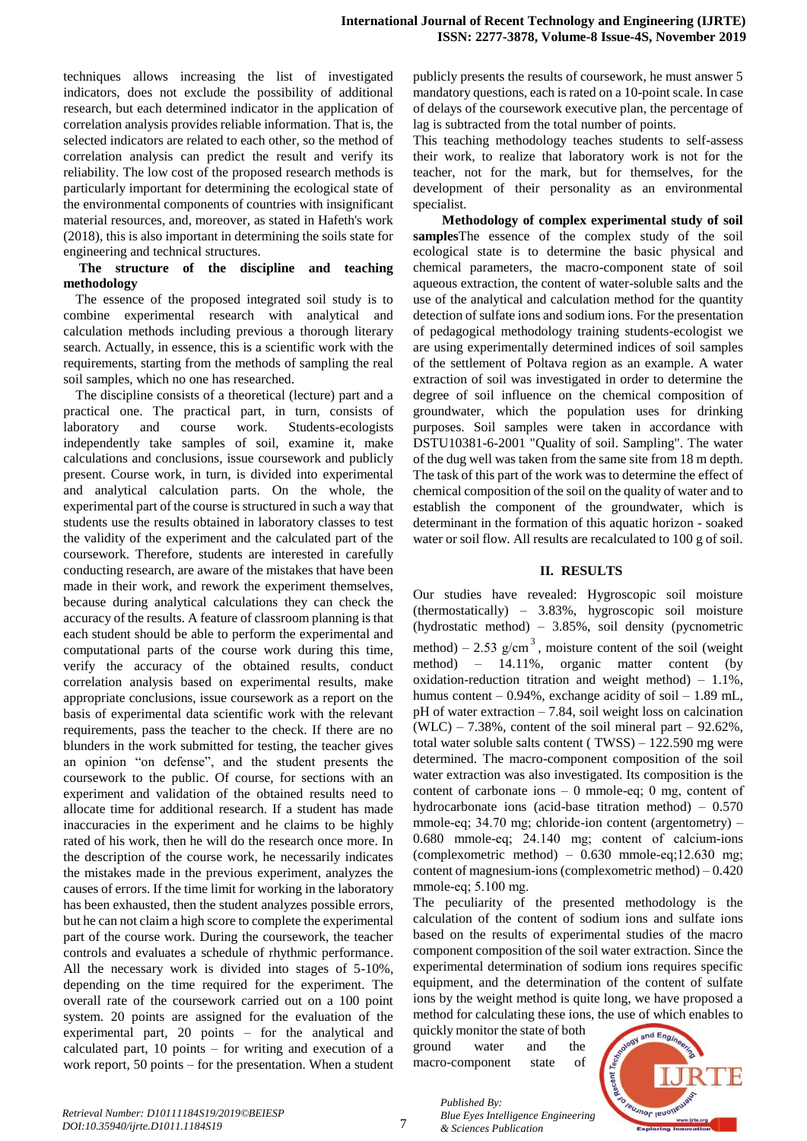techniques allows increasing the list of investigated indicators, does not exclude the possibility of additional research, but each determined indicator in the application of correlation analysis provides reliable information. That is, the selected indicators are related to each other, so the method of correlation analysis can predict the result and verify its reliability. The low cost of the proposed research methods is particularly important for determining the ecological state of the environmental components of countries with insignificant material resources, and, moreover, as stated in Hafeth's work (2018), this is also important in determining the soils state for engineering and technical structures.

#### **The structure of the discipline and teaching methodology**

The essence of the proposed integrated soil study is to combine experimental research with analytical and calculation methods including previous a thorough literary search. Actually, in essence, this is a scientific work with the requirements, starting from the methods of sampling the real soil samples, which no one has researched.

The discipline consists of a theoretical (lecture) part and a practical one. The practical part, in turn, consists of laboratory and course work. Students-ecologists independently take samples of soil, examine it, make calculations and conclusions, issue coursework and publicly present. Course work, in turn, is divided into experimental and analytical calculation parts. On the whole, the experimental part of the course is structured in such a way that students use the results obtained in laboratory classes to test the validity of the experiment and the calculated part of the coursework. Therefore, students are interested in carefully conducting research, are aware of the mistakes that have been made in their work, and rework the experiment themselves, because during analytical calculations they can check the accuracy of the results. A feature of classroom planning is that each student should be able to perform the experimental and computational parts of the course work during this time, verify the accuracy of the obtained results, conduct correlation analysis based on experimental results, make appropriate conclusions, issue coursework as a report on the basis of experimental data scientific work with the relevant requirements, pass the teacher to the check. If there are no blunders in the work submitted for testing, the teacher gives an opinion "on defense", and the student presents the coursework to the public. Of course, for sections with an experiment and validation of the obtained results need to allocate time for additional research. If a student has made inaccuracies in the experiment and he claims to be highly rated of his work, then he will do the research once more. In the description of the course work, he necessarily indicates the mistakes made in the previous experiment, analyzes the causes of errors. If the time limit for working in the laboratory has been exhausted, then the student analyzes possible errors, but he can not claim a high score to complete the experimental part of the course work. During the coursework, the teacher controls and evaluates a schedule of rhythmic performance. All the necessary work is divided into stages of 5-10%, depending on the time required for the experiment. The overall rate of the coursework carried out on a 100 point system. 20 points are assigned for the evaluation of the experimental part, 20 points – for the analytical and calculated part, 10 points – for writing and execution of a work report, 50 points – for the presentation. When a student

publicly presents the results of coursework, he must answer 5 mandatory questions, each is rated on a 10-point scale. In case of delays of the coursework executive plan, the percentage of lag is subtracted from the total number of points.

This teaching methodology teaches students to self-assess their work, to realize that laboratory work is not for the teacher, not for the mark, but for themselves, for the development of their personality as an environmental specialist.

**Methodology of complex experimental study of soil samples**The essence of the complex study of the soil ecological state is to determine the basic physical and chemical parameters, the macro-component state of soil aqueous extraction, the content of water-soluble salts and the use of the analytical and calculation method for the quantity detection of sulfate ions and sodium ions. For the presentation of pedagogical methodology training students-ecologist we are using experimentally determined indices of soil samples of the settlement of Poltava region as an example. A water extraction of soil was investigated in order to determine the degree of soil influence on the chemical composition of groundwater, which the population uses for drinking purposes. Soil samples were taken in accordance with DSTU10381-6-2001 "Quality of soil. Sampling". The water of the dug well was taken from the same site from 18 m depth. The task of this part of the work was to determine the effect of chemical composition of the soil on the quality of water and to establish the component of the groundwater, which is determinant in the formation of this aquatic horizon - soaked water or soil flow. All results are recalculated to 100 g of soil.

#### **II. RESULTS**

Our studies have revealed: Hygroscopic soil moisture (thermostatically) – 3.83%, hygroscopic soil moisture (hydrostatic method) – 3.85%, soil density (pycnometric method) – 2.53 g/cm<sup>3</sup>, moisture content of the soil (weight method) – 14.11%, organic matter content (by oxidation-reduction titration and weight method)  $-1.1\%$ , humus content  $-0.94\%$ , exchange acidity of soil  $-1.89$  mL, pH of water extraction – 7.84, soil weight loss on calcination  $(WLC)$  – 7.38%, content of the soil mineral part – 92.62%, total water soluble salts content ( TWSS) – 122.590 mg were determined. The macro-component composition of the soil water extraction was also investigated. Its composition is the content of carbonate ions – 0 mmole-еq; 0 mg, content of hydrocarbonate ions (acid-base titration method) – 0.570 mmole-eq; 34.70 mg; chloride-ion content (argentometry) – 0.680 mmole-еq; 24.140 mg; content of calcium-ions (complexometric method) –  $0.630$  mmole-eq;12.630 mg; content of magnesium-ions (complexometric method) – 0.420 mmole-еq; 5.100 mg.

The peculiarity of the presented methodology is the calculation of the content of sodium ions and sulfate ions based on the results of experimental studies of the macro component composition of the soil water extraction. Since the experimental determination of sodium ions requires specific equipment, and the determination of the content of sulfate ions by the weight method is quite long, we have proposed a method for calculating these ions, the use of which enables to

quickly monitor the state of both ground water and the macro-component state of

*& Sciences Publication* 

*Published By:*



7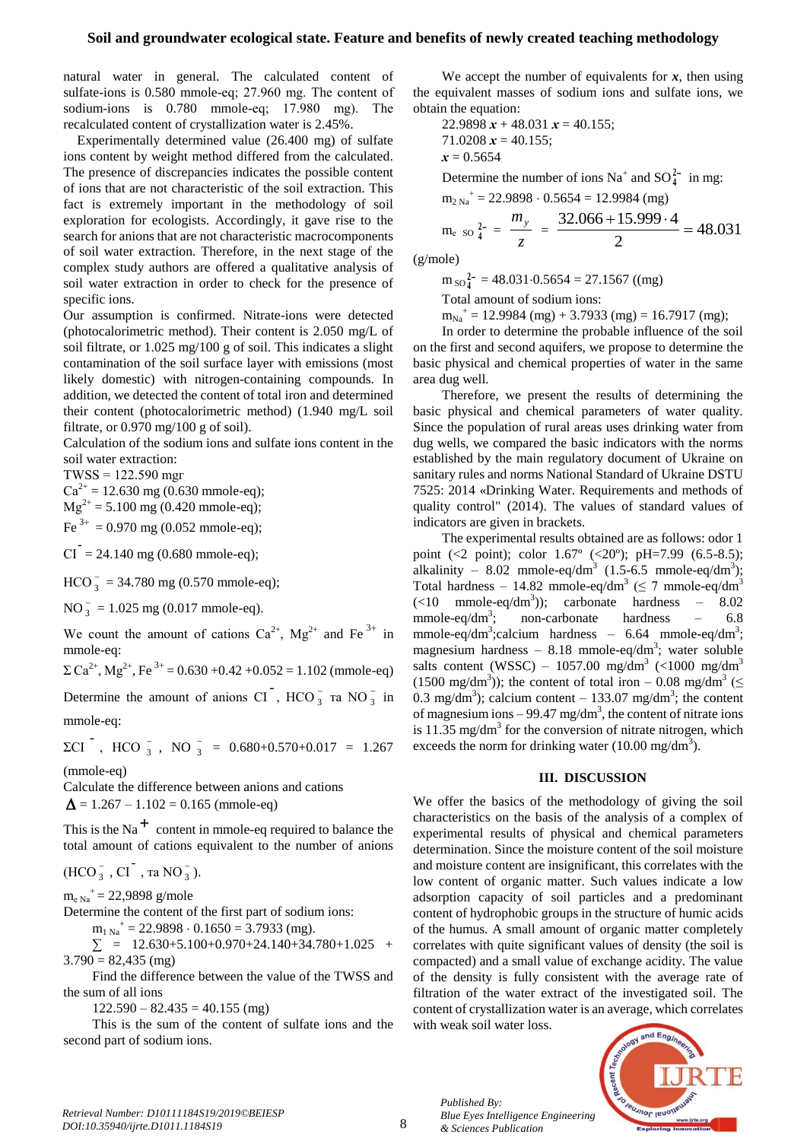natural water in general. The calculated content of sulfate-ions is 0.580 mmole-еq; 27.960 mg. The content of sodium-ions is 0.780 mmole-еq; 17.980 mg). The recalculated content of crystallization water is 2.45%.

Experimentally determined value (26.400 mg) of sulfate ions content by weight method differed from the calculated. The presence of discrepancies indicates the possible content of ions that are not characteristic of the soil extraction. This fact is extremely important in the methodology of soil exploration for ecologists. Accordingly, it gave rise to the search for anions that are not characteristic macrocomponents of soil water extraction. Therefore, in the next stage of the complex study authors are offered a qualitative analysis of soil water extraction in order to check for the presence of specific ions.

Our assumption is confirmed. Nitrate-ions were detected (photocalorimetric method). Their content is 2.050 mg/L of soil filtrate, or 1.025 mg/100 g of soil. This indicates a slight contamination of the soil surface layer with emissions (most likely domestic) with nitrogen-containing compounds. In addition, we detected the content of total iron and determined their content (photocalorimetric method) (1.940 mg/L soil filtrate, or 0.970 mg/100 g of soil).

Calculation of the sodium ions and sulfate ions content in the soil water extraction:

TWSS = 122.590 mgг

 $Ca^{2+} = 12.630$  mg (0.630 mmole-eq);  $Mg^{2+} = 5.100$  mg (0.420 mmole-eq);

 $Fe^{3+} = 0.970$  mg (0.052 mmole-eq);

 $CI = 24.140$  mg (0.680 mmole-eq);

 $HCO_3^ \frac{1}{3}$  = 34.780 mg (0.570 mmole-eq);

 $NO_3^ \frac{1}{3}$  = 1.025 mg (0.017 mmole-eq).

We count the amount of cations  $Ca^{2+}$ , Mg<sup>2+</sup> and Fe<sup>3+</sup> in mmole-eq:

 $\Sigma Ca^{2+}$ , Mg<sup>2+</sup>, Fe<sup>3+</sup> = 0.630 +0.42 +0.052 = 1.102 (mmole-eq)

Determine the amount of anions  $CI$ ,  $HCO_3^ _3^-$  та NO $_3^ \frac{1}{3}$  in mmole-eq:

 $\Sigma$ CI<sup>-</sup>, HCO<sup>-</sup><sub>3</sub>  $\frac{1}{3}$ , NO  $\frac{1}{3}$  $\frac{1}{3}$  = 0.680+0.570+0.017 = 1.267

(mmole-eq)

Calculate the difference between anions and cations  $\Delta$  = 1.267 – 1.102 = 0.165 (mmole-eq)

This is the Na<sup>+</sup> content in mmole-eq required to balance the total amount of cations equivalent to the number of anions

 $(HCO<sub>3</sub><sup>-</sup>)$  $\frac{1}{3}$ , CI<sup>-</sup>, ta NO $\frac{1}{3}$  $\frac{1}{3}$ ).

 $m_{e \text{ Na}}^{+} = 22,9898 \text{ g/mole}$ 

Determine the content of the first part of sodium ions:

 $m_{1 \text{ Na}}^{+}$  = 22.9898  $\cdot$  0.1650 = 3.7933 (mg).

 $\Sigma$  = 12.630+5.100+0.970+24.140+34.780+1.025 +  $3.790 = 82,435$  (mg)

Find the difference between the value of the TWSS and the sum of all ions

 $122.590 - 82.435 = 40.155$  (mg)

This is the sum of the content of sulfate ions and the second part of sodium ions.

We accept the number of equivalents for  $x$ , then using the equivalent masses of sodium ions and sulfate ions, we obtain the equation:

22.9898 
$$
x
$$
 + 48.031  $x$  = 40.155;  
71.0208  $x$  = 40.155;  
 $x$  = 0.5654

Determine the number of ions  $Na^+$  and  $SO_4^{2-}$  in mg:

 $m_{2 \text{ Na}}^{+} = 22.9898 \cdot 0.5654 = 12.9984 \text{ (mg)}$ 

$$
m_{e \text{ so } 4^2} = \frac{m_y}{z} = \frac{32.066 + 15.999 \cdot 4}{2} = 48.031
$$

(g/mole)

 $m_{SO}^2$ <sup>2</sup> = 48.031.0.5654 = 27.1567 ((mg)

Total amount of sodium ions:

 $m_{Na}^{\text{+}}$  = 12.9984 (mg) + 3.7933 (mg) = 16.7917 (mg);

In order to determine the probable influence of the soil on the first and second aquifers, we propose to determine the basic physical and chemical properties of water in the same area dug well.

Therefore, we present the results of determining the basic physical and chemical parameters of water quality. Since the population of rural areas uses drinking water from dug wells, we compared the basic indicators with the norms established by the main regulatory document of Ukraine on sanitary rules and norms National Standard of Ukraine DSTU 7525: 2014 «Drinking Water. Requirements and methods of quality control" (2014). The values of standard values of indicators are given in brackets.

The experimental results obtained are as follows: odor 1 point (<2 point); color 1.67º (<20º); pH=7.99 (6.5-8.5); alkalinity – 8.02 mmole-eq/dm<sup>3</sup>  $(1.5-6.5 \text{ mmole-eq/dm}^3);$ Total hardness – 14.82 mmole-eq/dm<sup>3</sup> ( $\leq$  7 mmole-eq/dm<sup>3</sup>  $(\leq 10$  mmole-eq/dm<sup>3</sup>)); carbonate hardness – 8.02 mmole-eq/dm<sup>3</sup>: ; non-carbonate hardness – 6.8 mmole-eq/dm<sup>3</sup>;calcium hardness – 6.64 mmole-eq/dm<sup>3</sup>; magnesium hardness  $-8.18$  mmole-eq/dm<sup>3</sup>; water soluble salts content (WSSC) – 1057.00 mg/dm<sup>3</sup> (<1000 mg/dm<sup>3</sup> (1500 mg/dm<sup>3</sup>)); the content of total iron – 0.08 mg/dm<sup>3</sup> ( $\leq$ 0.3 mg/dm<sup>3</sup>); calcium content – 133.07 mg/dm<sup>3</sup>; the content of magnesium ions  $-99.47$  mg/dm<sup>3</sup>, the content of nitrate ions is  $11.35 \text{ mg/dm}^3$  for the conversion of nitrate nitrogen, which exceeds the norm for drinking water  $(10.00 \text{ mg/dm}^3)$ .

#### **III. DISCUSSION**

We offer the basics of the methodology of giving the soil characteristics on the basis of the analysis of a complex of experimental results of physical and chemical parameters determination. Since the moisture content of the soil moisture and moisture content are insignificant, this correlates with the low content of organic matter. Such values indicate a low adsorption capacity of soil particles and a predominant content of hydrophobic groups in the structure of humic acids of the humus. A small amount of organic matter completely correlates with quite significant values of density (the soil is compacted) and a small value of exchange acidity. The value of the density is fully consistent with the average rate of filtration of the water extract of the investigated soil. The content of crystallization water is an average, which correlates with weak soil water loss.



*Published By:*

*& Sciences Publication* 

*Blue Eyes Intelligence Engineering*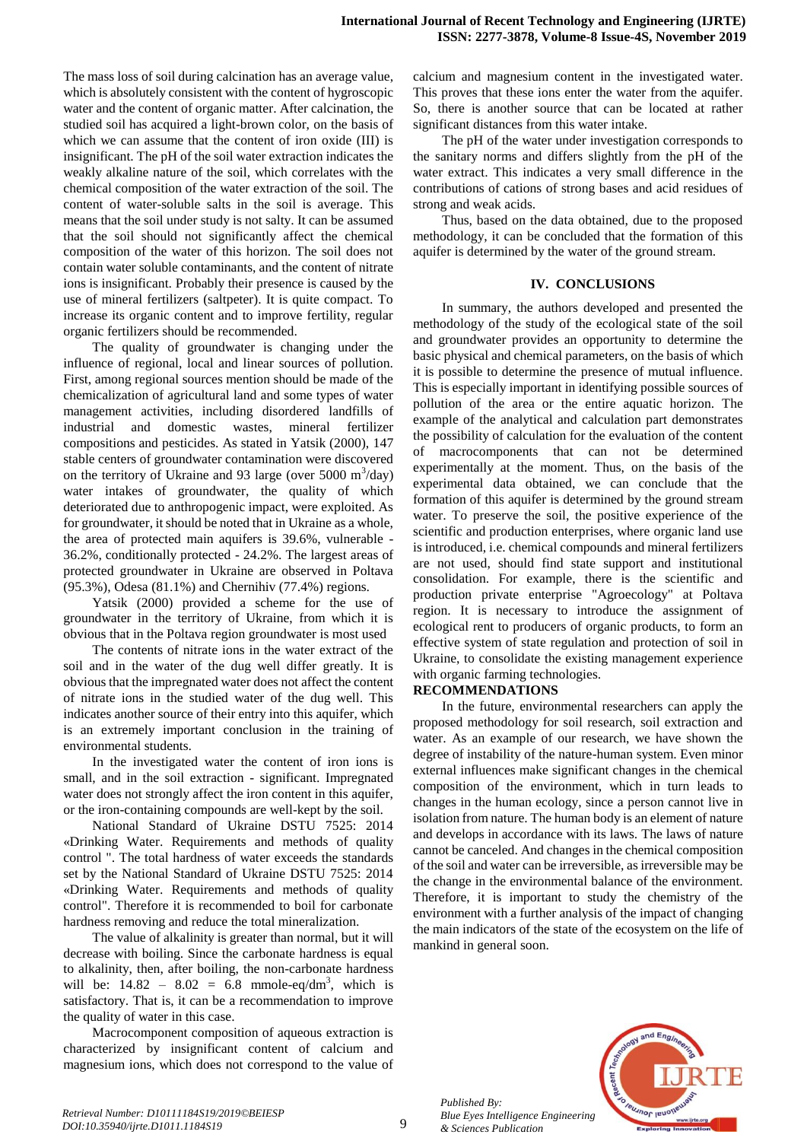The mass loss of soil during calcination has an average value, which is absolutely consistent with the content of hygroscopic water and the content of organic matter. After calcination, the studied soil has acquired a light-brown color, on the basis of which we can assume that the content of iron oxide (III) is insignificant. The pH of the soil water extraction indicates the weakly alkaline nature of the soil, which correlates with the chemical composition of the water extraction of the soil. The content of water-soluble salts in the soil is average. This means that the soil under study is not salty. It can be assumed that the soil should not significantly affect the chemical composition of the water of this horizon. The soil does not contain water soluble contaminants, and the content of nitrate ions is insignificant. Probably their presence is caused by the use of mineral fertilizers (saltpeter). It is quite compact. To increase its organic content and to improve fertility, regular organic fertilizers should be recommended.

The quality of groundwater is changing under the influence of regional, local and linear sources of pollution. First, among regional sources mention should be made of the chemicalization of agricultural land and some types of water management activities, including disordered landfills of industrial and domestic wastes, mineral fertilizer compositions and pesticides. As stated in Yatsik (2000), 147 stable centers of groundwater contamination were discovered on the territory of Ukraine and 93 large (over 5000  $\text{m}^3/\text{day}$ ) water intakes of groundwater, the quality of which deteriorated due to anthropogenic impact, were exploited. As for groundwater, it should be noted that in Ukraine as a whole, the area of protected main aquifers is 39.6%, vulnerable - 36.2%, conditionally protected - 24.2%. The largest areas of protected groundwater in Ukraine are observed in Poltava (95.3%), Odesa (81.1%) and Chernihiv (77.4%) regions.

Yatsik (2000) provided a scheme for the use of groundwater in the territory of Ukraine, from which it is obvious that in the Poltava region groundwater is most used

The contents of nitrate ions in the water extract of the soil and in the water of the dug well differ greatly. It is obvious that the impregnated water does not affect the content of nitrate ions in the studied water of the dug well. This indicates another source of their entry into this aquifer, which is an extremely important conclusion in the training of environmental students.

In the investigated water the content of iron ions is small, and in the soil extraction - significant. Impregnated water does not strongly affect the iron content in this aquifer, or the iron-containing compounds are well-kept by the soil.

National Standard of Ukraine DSTU 7525: 2014 «Drinking Water. Requirements and methods of quality control ". The total hardness of water exceeds the standards set by the National Standard of Ukraine DSTU 7525: 2014 «Drinking Water. Requirements and methods of quality control". Therefore it is recommended to boil for carbonate hardness removing and reduce the total mineralization.

The value of alkalinity is greater than normal, but it will decrease with boiling. Since the carbonate hardness is equal to alkalinity, then, after boiling, the non-carbonate hardness will be:  $14.82 - 8.02 = 6.8$  mmole-eq/dm<sup>3</sup>, which is satisfactory. That is, it can be a recommendation to improve the quality of water in this case.

Macrocomponent composition of aqueous extraction is characterized by insignificant content of calcium and magnesium ions, which does not correspond to the value of calcium and magnesium content in the investigated water. This proves that these ions enter the water from the aquifer. So, there is another source that can be located at rather significant distances from this water intake.

The pH of the water under investigation corresponds to the sanitary norms and differs slightly from the pH of the water extract. This indicates a very small difference in the contributions of cations of strong bases and acid residues of strong and weak acids.

Thus, based on the data obtained, due to the proposed methodology, it can be concluded that the formation of this aquifer is determined by the water of the ground stream.

### **IV. CONCLUSIONS**

In summary, the authors developed and presented the methodology of the study of the ecological state of the soil and groundwater provides an opportunity to determine the basic physical and chemical parameters, on the basis of which it is possible to determine the presence of mutual influence. This is especially important in identifying possible sources of pollution of the area or the entire aquatic horizon. The example of the analytical and calculation part demonstrates the possibility of calculation for the evaluation of the content of macrocomponents that can not be determined experimentally at the moment. Thus, on the basis of the experimental data obtained, we can conclude that the formation of this aquifer is determined by the ground stream water. To preserve the soil, the positive experience of the scientific and production enterprises, where organic land use is introduced, i.e. chemical compounds and mineral fertilizers are not used, should find state support and institutional consolidation. For example, there is the scientific and production private enterprise "Agroecology" at Poltava region. It is necessary to introduce the assignment of ecological rent to producers of organic products, to form an effective system of state regulation and protection of soil in Ukraine, to consolidate the existing management experience with organic farming technologies.

### **RECOMMENDATIONS**

In the future, environmental researchers can apply the proposed methodology for soil research, soil extraction and water. As an example of our research, we have shown the degree of instability of the nature-human system. Even minor external influences make significant changes in the chemical composition of the environment, which in turn leads to changes in the human ecology, since a person cannot live in isolation from nature. The human body is an element of nature and develops in accordance with its laws. The laws of nature cannot be canceled. And changes in the chemical composition of the soil and water can be irreversible, as irreversible may be the change in the environmental balance of the environment. Therefore, it is important to study the chemistry of the environment with a further analysis of the impact of changing the main indicators of the state of the ecosystem on the life of mankind in general soon.



*Published By: Blue Eyes Intelligence Engineering & Sciences Publication*